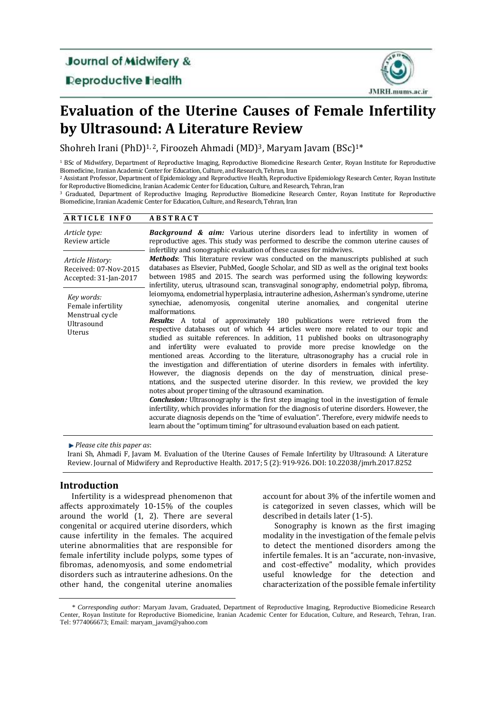**Journal of Midwifery &** 

**Deproductive Health** 



# **Evaluation of the Uterine Causes of Female Infertility by Ultrasound: A Literature Review**

Shohreh Irani (PhD)<sup>1, 2</sup>, Firoozeh Ahmadi (MD)<sup>3</sup>, Maryam Javam (BSc)<sup>1\*</sup>

<sup>1</sup> BSc of Midwifery, Department of Reproductive Imaging, Reproductive Biomedicine Research Center, Royan Institute for Reproductive Biomedicine, Iranian Academic Center for Education, Culture, and Research, Tehran, Iran

<sup>2</sup> Assistant Professor, Department of Epidemiology and Reproductive Health, Reproductive Epidemiology Research Center, Royan Institute for Reproductive Biomedicine, Iranian Academic Center for Education, Culture, and Research, Tehran, Iran

<sup>3</sup> Graduated, Department of Reproductive Imaging, Reproductive Biomedicine Research Center, Royan Institute for Reproductive Biomedicine, Iranian Academic Center for Education, Culture, and Research, Tehran, Iran

| <b>ARTICLE INFO</b>                                                         | <b>ABSTRACT</b>                                                                                                                                                                                                                                                                                                                                                                                                                                                                                                                                                                                                                                                                                                                                                                                                                                                                                                                                                                                                                                                                                                                                                                                                                                                                                                                                                                                                                                                                                                                                                                                                                                                                                                                                                                                                                                                                                                                                                               |
|-----------------------------------------------------------------------------|-------------------------------------------------------------------------------------------------------------------------------------------------------------------------------------------------------------------------------------------------------------------------------------------------------------------------------------------------------------------------------------------------------------------------------------------------------------------------------------------------------------------------------------------------------------------------------------------------------------------------------------------------------------------------------------------------------------------------------------------------------------------------------------------------------------------------------------------------------------------------------------------------------------------------------------------------------------------------------------------------------------------------------------------------------------------------------------------------------------------------------------------------------------------------------------------------------------------------------------------------------------------------------------------------------------------------------------------------------------------------------------------------------------------------------------------------------------------------------------------------------------------------------------------------------------------------------------------------------------------------------------------------------------------------------------------------------------------------------------------------------------------------------------------------------------------------------------------------------------------------------------------------------------------------------------------------------------------------------|
| Article type:<br>Review article                                             | <b>Background &amp; aim:</b> Various uterine disorders lead to infertility in women of<br>reproductive ages. This study was performed to describe the common uterine causes of<br>infertility and sonographic evaluation of these causes for midwives.<br><b>Methods:</b> This literature review was conducted on the manuscripts published at such<br>databases as Elsevier, PubMed, Google Scholar, and SID as well as the original text books<br>between 1985 and 2015. The search was performed using the following keywords:<br>infertility, uterus, ultrasound scan, transvaginal sonography, endometrial polyp, fibroma,<br>leiomyoma, endometrial hyperplasia, intrauterine adhesion, Asherman's syndrome, uterine<br>synechiae, adenomyosis, congenital uterine anomalies, and congenital uterine<br>malformations.<br><b>Results:</b> A total of approximately 180 publications were retrieved from the<br>respective databases out of which 44 articles were more related to our topic and<br>studied as suitable references. In addition, 11 published books on ultrasonography<br>and infertility were evaluated to provide more precise knowledge on the<br>mentioned areas. According to the literature, ultrasonography has a crucial role in<br>the investigation and differentiation of uterine disorders in females with infertility.<br>However, the diagnosis depends on the day of menstruation, clinical prese-<br>ntations, and the suspected uterine disorder. In this review, we provided the key<br>notes about proper timing of the ultrasound examination.<br><b>Conclusion:</b> Ultrasonography is the first step imaging tool in the investigation of female<br>infertility, which provides information for the diagnosis of uterine disorders. However, the<br>accurate diagnosis depends on the "time of evaluation". Therefore, every midwife needs to<br>learn about the "optimum timing" for ultrasound evaluation based on each patient. |
| Article History:<br>Received: 07-Nov-2015<br>Accepted: 31-Jan-2017          |                                                                                                                                                                                                                                                                                                                                                                                                                                                                                                                                                                                                                                                                                                                                                                                                                                                                                                                                                                                                                                                                                                                                                                                                                                                                                                                                                                                                                                                                                                                                                                                                                                                                                                                                                                                                                                                                                                                                                                               |
| Key words:<br>Female infertility<br>Menstrual cycle<br>Ultrasound<br>Uterus |                                                                                                                                                                                                                                                                                                                                                                                                                                                                                                                                                                                                                                                                                                                                                                                                                                                                                                                                                                                                                                                                                                                                                                                                                                                                                                                                                                                                                                                                                                                                                                                                                                                                                                                                                                                                                                                                                                                                                                               |

*Please cite this paper as*:

Irani Sh, Ahmadi F, Javam M. Evaluation of the Uterine Causes of Female Infertility by Ultrasound: A Literature Review. Journal of Midwifery and Reproductive Health. 2017; 5 (2): 919-926. DOI: 10.22038/jmrh.2017.8252

# **Introduction**

Infertility is a widespread phenomenon that affects approximately 10-15% of the couples around the world [\(1,](#page-5-0) [2\)](#page-5-1). There are several congenital or acquired uterine disorders, which cause infertility in the females. The acquired uterine abnormalities that are responsible for female infertility include polyps, some types of fibromas, adenomyosis, and some endometrial disorders such as intrauterine adhesions. On the other hand, the congenital uterine anomalies account for about 3% of the infertile women and is categorized in seven classes, which will be described in details later [\(1-5\)](#page-5-0).

Sonography is known as the first imaging modality in the investigation of the female pelvis to detect the mentioned disorders among the infertile females. It is an "accurate, non-invasive, and cost-effective" modality, which provides useful knowledge for the detection and characterization of the possible female infertility

*<sup>\*</sup> Corresponding author:* Maryam Javam, Graduated, Department of Reproductive Imaging, Reproductive Biomedicine Research Center, Royan Institute for Reproductive Biomedicine, Iranian Academic Center for Education, Culture, and Research, Tehran, Iran. Tel: 9774066673; Email: [maryam\\_javam@yahoo.com](mailto:maryam_javam@yahoo.com)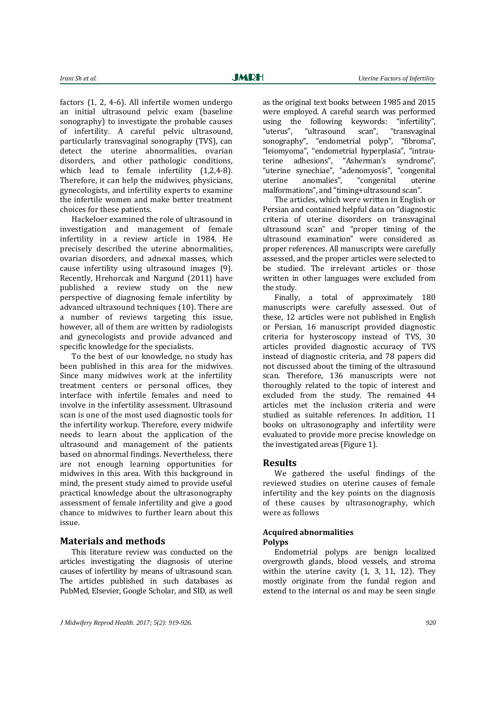factors [\(1,](#page-5-0) [2,](#page-5-1) [4-6\)](#page-5-2). All infertile women undergo an initial ultrasound pelvic exam (baseline sonography) to investigate the probable causes of infertility. A careful pelvic ultrasound, particularly transvaginal sonography (TVS), can detect the uterine abnormalities, ovarian disorders, and other pathologic conditions, which lead to female infertility [\(1,](#page-5-0)[2,](#page-5-1)[4-8\)](#page-5-2). Therefore, it can help the midwives, physicians, gynecologists, and infertility experts to examine the infertile women and make better treatment choices for these patients.

Hackeloer examined the role of ultrasound in investigation and management of female infertility in a review article in 1984. He precisely described the uterine abnormalities, ovarian disorders, and adnexal masses, which cause infertility using ultrasound images [\(9\)](#page-5-3). Recently, Hrehorcak and Nargund (2011) have published a review study on the new perspective of diagnosing female infertility by advanced ultrasound techniques [\(10\)](#page-5-4). There are a number of reviews targeting this issue, however, all of them are written by radiologists and gynecologists and provide advanced and specific knowledge for the specialists.

To the best of our knowledge, no study has been published in this area for the midwives. Since many midwives work at the infertility treatment centers or personal offices, they interface with infertile females and need to involve in the infertility assessment. Ultrasound scan is one of the most used diagnostic tools for the infertility workup. Therefore, every midwife needs to learn about the application of the ultrasound and management of the patients based on abnormal findings. Nevertheless, there are not enough learning opportunities for midwives in this area. With this background in mind, the present study aimed to provide useful practical knowledge about the ultrasonography assessment of female infertility and give a good chance to midwives to further learn about this issue.

## **Materials and methods**

This literature review was conducted on the articles investigating the diagnosis of uterine causes of infertility by means of ultrasound scan. The articles published in such databases as PubMed, Elsevier, Google Scholar, and SID, as well as the original text books between 1985 and 2015 were employed. A careful search was performed using the following keywords: "infertility", "uterus", "ultrasound scan", "transvaginal sonography", "endometrial polyp", "fibroma", "leiomyoma", "endometrial hyperplasia", "intrauterine adhesions", "Asherman's syndrome", "uterine synechiae", "adenomyosis", "congenital uterine anomalies", "congenital uterine malformations", and "timing+ultrasound scan".

The articles, which were written in English or Persian and contained helpful data on "diagnostic criteria of uterine disorders on transvaginal ultrasound scan" and "proper timing of the ultrasound examination" were considered as proper references. All manuscripts were carefully assessed, and the proper articles were selected to be studied. The irrelevant articles or those written in other languages were excluded from the study.

Finally, a total of approximately 180 manuscripts were carefully assessed. Out of these, 12 articles were not published in English or Persian, 16 manuscript provided diagnostic criteria for hysteroscopy instead of TVS, 30 articles provided diagnostic accuracy of TVS instead of diagnostic criteria, and 78 papers did not discussed about the timing of the ultrasound scan. Therefore, 136 manuscripts were not thoroughly related to the topic of interest and excluded from the study. The remained 44 articles met the inclusion criteria and were studied as suitable references. In addition, 11 books on ultrasonography and infertility were evaluated to provide more precise knowledge on the investigated areas (Figure 1).

#### **Results**

We gathered the useful findings of the reviewed studies on uterine causes of female infertility and the key points on the diagnosis of these causes by ultrasonography, which were as follows

#### **Acquired abnormalities Polyps**

Endometrial polyps are benign localized overgrowth glands, blood vessels, and stroma within the uterine cavity [\(1,](#page-5-0) [3,](#page-5-5) [11,](#page-5-6) [12\)](#page-5-7). They mostly originate from the fundal region and extend to the internal os and may be seen single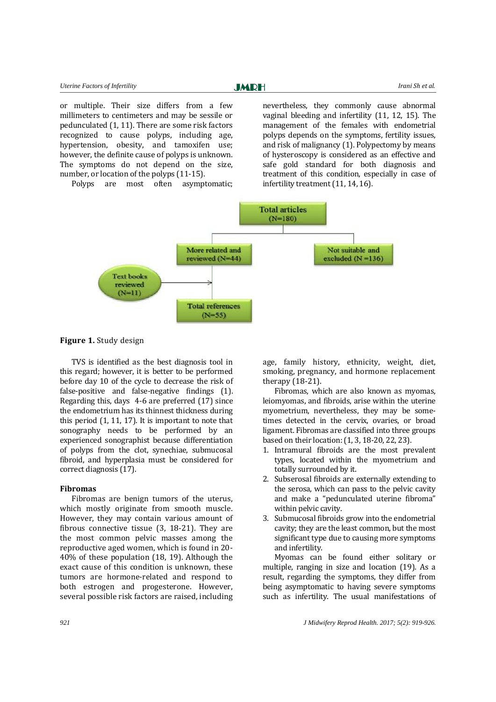**JMRH** 

or multiple. Their size differs from a few millimeters to centimeters and may be sessile or pedunculated [\(1,](#page-5-0) [11\)](#page-5-6). There are some risk factors recognized to cause polyps, including age, hypertension, obesity, and tamoxifen use; however, the definite cause of polyps is unknown. The symptoms do not depend on the size, number, or location of the polyps [\(11-15\)](#page-5-6).

Polyps are most often asymptomatic;

nevertheless, they commonly cause abnormal vaginal bleeding and infertility [\(11,](#page-5-6) [12,](#page-5-7) [15\)](#page-5-8). The management of the females with endometrial polyps depends on the symptoms, fertility issues, and risk of malignancy [\(1\)](#page-5-0). Polypectomy by means of hysteroscopy is considered as an effective and safe gold standard for both diagnosis and treatment of this condition, especially in case of infertility treatment [\(11,](#page-5-6) [14,](#page-5-9) [16\)](#page-5-10).



**Figure 1.** Study design

TVS is identified as the best diagnosis tool in this regard; however, it is better to be performed before day 10 of the cycle to decrease the risk of false-positive and false-negative findings [\(1\)](#page-5-0). Regarding this, days 4-6 are preferred [\(17\)](#page-5-11) since the endometrium has its thinnest thickness during this period [\(1,](#page-5-0) [11,](#page-5-6) [17\)](#page-5-11). It is important to note that sonography needs to be performed by an experienced sonographist because differentiation of polyps from the clot, synechiae, submucosal fibroid, and hyperplasia must be considered for correct diagnosis [\(17\)](#page-5-11).

### **Fibromas**

Fibromas are benign tumors of the uterus, which mostly originate from smooth muscle. However, they may contain various amount of fibrous connective tissue [\(3,](#page-5-5) [18-21\)](#page-5-12). They are the most common pelvic masses among the reproductive aged women, which is found in 20- 40% of these population [\(18,](#page-5-12) [19\)](#page-5-13). Although the exact cause of this condition is unknown, these tumors are hormone-related and respond to both estrogen and progesterone. However, several possible risk factors are raised, including

age, family history, ethnicity, weight, diet, smoking, pregnancy, and hormone replacement therapy [\(18-21\)](#page-5-12).

Fibromas, which are also known as myomas, leiomyomas, and fibroids, arise within the uterine myometrium, nevertheless, they may be sometimes detected in the cervix, ovaries, or broad ligament. Fibromas are classified into three groups based on their location: [\(1,](#page-5-0) [3,](#page-5-5) [18-20,](#page-5-12) [22,](#page-6-0) [23\)](#page-6-1).

- 1. Intramural fibroids are the most prevalent types, located within the myometrium and totally surrounded by it.
- 2. Subserosal fibroids are externally extending to the serosa, which can pass to the pelvic cavity and make a "pedunculated uterine fibroma" within pelvic cavity.
- 3. Submucosal fibroids grow into the endometrial cavity; they are the least common, but the most significant type due to causing more symptoms and infertility.

Myomas can be found either solitary or multiple, ranging in size and location [\(19\)](#page-5-13). As a result, regarding the symptoms, they differ from being asymptomatic to having severe symptoms such as infertility. The usual manifestations of

*921 J Midwifery Reprod Health. 2017; 5(2): 919-926.*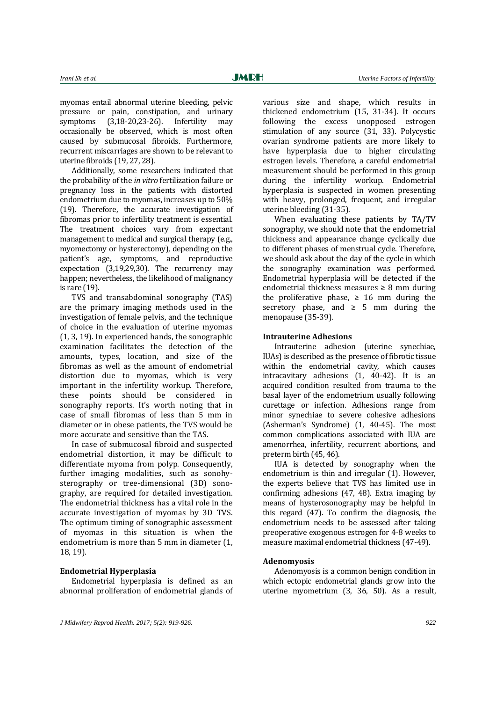myomas entail abnormal uterine bleeding, pelvic pressure or pain, constipation, and urinary symptoms [\(3,](#page-5-5)[18-20,](#page-5-12)[23-26\)](#page-6-1). Infertility may occasionally be observed, which is most often caused by submucosal fibroids. Furthermore, recurrent miscarriages are shown to be relevant to uterine fibroids [\(19,](#page-5-13) [27,](#page-6-2) [28\)](#page-6-3).

Additionally, some researchers indicated that the probability of the *in vitro* fertilization failure or pregnancy loss in the patients with distorted endometrium due to myomas, increases up to 50% [\(19\)](#page-5-13). Therefore, the accurate investigation of fibromas prior to infertility treatment is essential. The treatment choices vary from expectant management to medical and surgical therapy (e.g., myomectomy or hysterectomy), depending on the patient's age, symptoms, and reproductive expectation [\(3](#page-5-5)[,19,](#page-5-13)[29](#page-6-4)[,30\)](#page-6-5). The recurrency may happen; nevertheless, the likelihood of malignancy is rare [\(19\)](#page-5-13).

TVS and transabdominal sonography (TAS) are the primary imaging methods used in the investigation of female pelvis, and the technique of choice in the evaluation of uterine myomas [\(1,](#page-5-0) [3,](#page-5-5) [19\)](#page-5-13). In experienced hands, the sonographic examination facilitates the detection of the amounts, types, location, and size of the fibromas as well as the amount of endometrial distortion due to myomas, which is very important in the infertility workup. Therefore, these points should be considered in sonography reports. It's worth noting that in case of small fibromas of less than 5 mm in diameter or in obese patients, the TVS would be more accurate and sensitive than the TAS.

In case of submucosal fibroid and suspected endometrial distortion, it may be difficult to differentiate myoma from polyp. Consequently, further imaging modalities, such as sonohysterography or tree-dimensional (3D) sonography, are required for detailed investigation. The endometrial thickness has a vital role in the accurate investigation of myomas by 3D TVS. The optimum timing of sonographic assessment of myomas in this situation is when the endometrium is more than 5 mm in diameter [\(1,](#page-5-0)  [18,](#page-5-12) [19\)](#page-5-13).

### **Endometrial Hyperplasia**

Endometrial hyperplasia is defined as an abnormal proliferation of endometrial glands of various size and shape, which results in thickened endometrium [\(15,](#page-5-8) [31-34\)](#page-6-6). It occurs following the excess unopposed estrogen stimulation of any source [\(31,](#page-6-6) [33\)](#page-6-7). Polycystic ovarian syndrome patients are more likely to have hyperplasia due to higher circulating estrogen levels. Therefore, a careful endometrial measurement should be performed in this group during the infertility workup. Endometrial hyperplasia is suspected in women presenting with heavy, prolonged, frequent, and irregular uterine bleeding [\(31-35\)](#page-6-6).

When evaluating these patients by TA/TV sonography, we should note that the endometrial thickness and appearance change cyclically due to different phases of menstrual cycle. Therefore, we should ask about the day of the cycle in which the sonography examination was performed. Endometrial hyperplasia will be detected if the endometrial thickness measures  $\geq 8$  mm during the proliferative phase,  $\geq 16$  mm during the secretory phase, and  $\geq$  5 mm during the menopause [\(35-39\)](#page-6-8).

#### **Intrauterine Adhesions**

Intrauterine adhesion (uterine synechiae, IUAs) is described as the presence of fibrotic tissue within the endometrial cavity, which causes intracavitary adhesions [\(1,](#page-5-0) [40-](#page-6-9)42). It is an acquired condition resulted from trauma to the basal layer of the endometrium usually following curettage or infection. Adhesions range from minor synechiae to severe cohesive adhesions (Asherman's Syndrome) [\(1,](#page-5-0) [40-45\)](#page-6-9). The most common complications associated with IUA are amenorrhea, infertility, recurrent abortions, and preterm birth [\(45,](#page-6-10) [46\)](#page-6-11).

IUA is detected by sonography when the endometrium is thin and irregular [\(1\)](#page-5-0). However, the experts believe that TVS has limited use in confirming adhesions [\(47,](#page-6-12) [48\)](#page-6-13). Extra imaging by means of hysterosonography may be helpful in this regard [\(47\)](#page-6-12). To confirm the diagnosis, the endometrium needs to be assessed after taking preoperative exogenous estrogen for 4-8 weeks to measure maximal endometrial thickness [\(47-49\)](#page-6-12).

#### **Adenomyosis**

Adenomyosis is a common benign condition in which ectopic endometrial glands grow into the uterine myometrium [\(3,](#page-5-5) 36, [50\)](#page-6-14). As a result,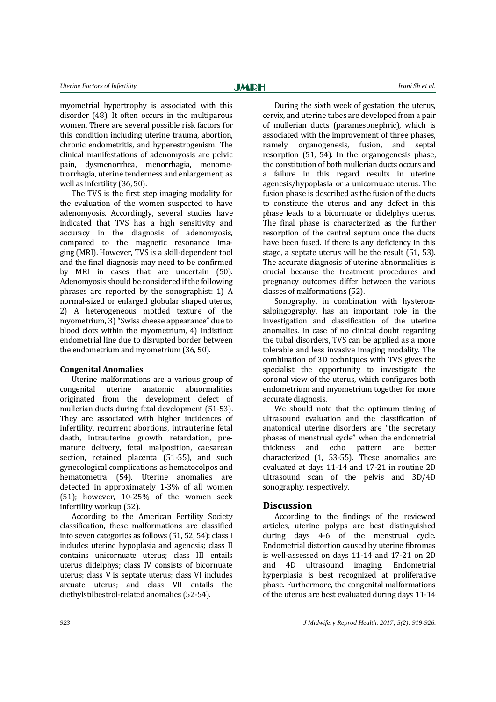myometrial hypertrophy is associated with this disorder [\(48\)](#page-6-14). It often occurs in the multiparous women. There are several possible risk factors for this condition including uterine trauma, abortion, chronic endometritis, and hyperestrogenism. The clinical manifestations of adenomyosis are pelvic pain, dysmenorrhea, menorrhagia, menometrorrhagia, uterine tenderness and enlargement, as well as infertility (36, 50).

The TVS is the first step imaging modality for the evaluation of the women suspected to have adenomyosis. Accordingly, several studies have indicated that TVS has a high sensitivity and accuracy in the diagnosis of adenomyosis, compared to the magnetic resonance imaging (MRI). However, TVS is a skill-dependent tool and the final diagnosis may need to be confirmed by MRI in cases that are uncertain (50). Adenomyosis should be considered if the following phrases are reported by the sonographist: 1) A normal-sized or enlarged globular shaped uterus, 2) A heterogeneous mottled texture of the myometrium, 3) "Swiss cheese appearance" due to blood clots within the myometrium, 4) Indistinct endometrial line due to disrupted border between the endometrium and myometrium (36[, 50\)](#page-6-14).

#### **Congenital Anomalies**

Uterine malformations are a various group of congenital uterine anatomic abnormalities originated from the development defect of mullerian ducts during fetal development (51-53). They are associated with higher incidences of infertility, recurrent abortions, intrauterine fetal death, intrauterine growth retardation, premature delivery, fetal malposition, caesarean section, retained placenta (51-55), and such gynecological complications as hematocolpos and hematometra (54). Uterine anomalies are detected in approximately 1-3% of all women (51); however, 10-25% of the women seek infertility workup (52).

According to the American Fertility Society classification, these malformations are classified into seven categories as follows (51, 52, 54): class I includes uterine hypoplasia and agenesis; class II contains unicornuate uterus; class III entails uterus didelphys; class IV consists of bicornuate uterus; class V is septate uterus; class VI includes arcuate uterus; and class VII entails the diethylstilbestrol-related anomalies (52-54).

During the sixth week of gestation, the uterus, cervix, and uterine tubes are developed from a pair of mullerian ducts (paramesonephric), which is associated with the improvement of three phases, namely organogenesis, fusion, and septal resorption (51, 54). In the organogenesis phase, the constitution of both mullerian ducts occurs and a failure in this regard results in uterine agenesis/hypoplasia or a unicornuate uterus. The fusion phase is described as the fusion of the ducts to constitute the uterus and any defect in this phase leads to a bicornuate or didelphys uterus. The final phase is characterized as the further resorption of the central septum once the ducts have been fused. If there is any deficiency in this stage, a septate uterus will be the result (51, 53). The accurate diagnosis of uterine abnormalities is crucial because the treatment procedures and pregnancy outcomes differ between the various classes of malformations (52).

Sonography, in combination with hysteronsalpingography, has an important role in the investigation and classification of the uterine anomalies. In case of no clinical doubt regarding the tubal disorders, TVS can be applied as a more tolerable and less invasive imaging modality. The combination of 3D techniques with TVS gives the specialist the opportunity to investigate the coronal view of the uterus, which configures both endometrium and myometrium together for more accurate diagnosis.

We should note that the optimum timing of ultrasound evaluation and the classification of anatomical uterine disorders are "the secretary phases of menstrual cycle" when the endometrial thickness and echo pattern are better characterized [\(1,](#page-5-0) 53-55). These anomalies are evaluated at days 11-14 and 17-21 in routine 2D ultrasound scan of the pelvis and 3D/4D sonography, respectively.

#### **Discussion**

According to the findings of the reviewed articles, uterine polyps are best distinguished during days 4-6 of the menstrual cycle. Endometrial distortion caused by uterine fibromas is well-assessed on days 11-14 and 17-21 on 2D and 4D ultrasound imaging. Endometrial hyperplasia is best recognized at proliferative phase. Furthermore, the congenital malformations of the uterus are best evaluated during days 11-14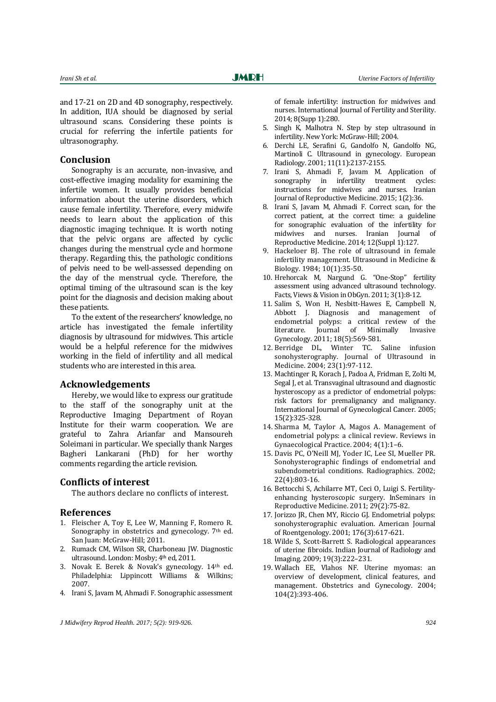and 17-21 on 2D and 4D sonography, respectively. In addition, IUA should be diagnosed by serial ultrasound scans. Considering these points is crucial for referring the infertile patients for ultrasonography.

## **Conclusion**

Sonography is an accurate, non-invasive, and cost-effective imaging modality for examining the infertile women. It usually provides beneficial information about the uterine disorders, which cause female infertility. Therefore, every midwife needs to learn about the application of this diagnostic imaging technique. It is worth noting that the pelvic organs are affected by cyclic changes during the menstrual cycle and hormone therapy. Regarding this, the pathologic conditions of pelvis need to be well-assessed depending on the day of the menstrual cycle. Therefore, the optimal timing of the ultrasound scan is the key point for the diagnosis and decision making about these patients.

To the extent of the researchers' knowledge, no article has investigated the female infertility diagnosis by ultrasound for midwives. This article would be a helpful reference for the midwives working in the field of infertility and all medical students who are interested in this area.

#### **Acknowledgements**

Hereby, we would like to express our gratitude to the staff of the sonography unit at the Reproductive Imaging Department of Royan Institute for their warm cooperation. We are grateful to Zahra Arianfar and Mansoureh Soleimani in particular. We specially thank Narges Bagheri Lankarani (PhD) for her worthy comments regarding the article revision.

#### **Conflicts of interest**

The authors declare no conflicts of interest.

#### **References**

- <span id="page-5-0"></span>1. Fleischer A, Toy E, Lee W, Manning F, Romero R. Sonography in obstetrics and gynecology. 7<sup>th</sup> ed. San Juan: McGraw-Hill; 2011.
- <span id="page-5-1"></span>2. Rumack CM, Wilson SR, Charboneau JW. Diagnostic ultrasound. London: Mosby; 4th ed, 2011.
- <span id="page-5-5"></span>3. Novak E. Berek & Novak's gynecology. 14th ed. Philadelphia: Lippincott Williams & Wilkins; 2007.
- <span id="page-5-2"></span>4. Irani S, Javam M, Ahmadi F. Sonographic assessment

of female infertility: instruction for midwives and nurses. International Journal of Fertility and Sterility. 2014; 8(Supp 1):280.

- 5. Singh K, Malhotra N. Step by step ultrasound in infertility. New York: McGraw-Hill; 2004.
- 6. Derchi LE, Serafini G, Gandolfo N, Gandolfo NG, Martinoli C. Ultrasound in gynecology. European Radiology. 2001; 11(11):2137-2155.
- 7. Irani S, Ahmadi F, Javam M. Application of sonography in infertility treatment cycles: instructions for midwives and nurses. Iranian Journal of Reproductive Medicine. 2015; 1(2):36.
- 8. Irani S, Javam M, Ahmadi F. Correct scan, for the correct patient, at the correct time: a guideline for sonographic evaluation of the infertility for midwives and nurses. Iranian Journal of Reproductive Medicine. 2014; 12(Suppl 1):127.
- <span id="page-5-3"></span>9. Hackeloer BJ. The role of ultrasound in female infertility management. Ultrasound in Medicine & Biology. 1984; 10(1):35-50.
- <span id="page-5-4"></span>10. Hrehorcak M, Nargund G. "One-Stop" fertility assessment using advanced ultrasound technology. Facts, Views & Vision in ObGyn. 2011; 3(1):8-12.
- <span id="page-5-6"></span>11. Salim S, Won H, Nesbitt-Hawes E, Campbell N, Abbott J. Diagnosis and management of endometrial polyps: a critical review of the literature. Journal of Minimally Invasive Gynecology. 2011; 18(5):569-581.
- <span id="page-5-7"></span>12. Berridge DL, Winter TC. Saline infusion sonohysterography. Journal of Ultrasound in Medicine. 2004; 23(1):97-112.
- 13. Machtinger R, Korach J, Padoa A, Fridman E, Zolti M, Segal J, et al. Transvaginal ultrasound and diagnostic hysteroscopy as a predictor of endometrial polyps: risk factors for premalignancy and malignancy. International Journal of Gynecological Cancer. 2005; 15(2):325-328.
- <span id="page-5-9"></span>14. Sharma M, Taylor A, Magos A. Management of endometrial polyps: a clinical review. Reviews in Gynaecological Practice. 2004; 4(1):1–6.
- <span id="page-5-8"></span>15. Davis PC, O'Neill MJ, Yoder IC, Lee SI, Mueller PR. Sonohysterographic findings of endometrial and subendometrial conditions. Radiographics. 2002; 22(4):803-16.
- <span id="page-5-10"></span>16. Bettocchi S, Achilarre MT, Ceci O, Luigi S. Fertilityenhancing hysteroscopic surgery. InSeminars in Reproductive Medicine. 2011; 29(2):75-82.
- <span id="page-5-11"></span>17. Jorizzo JR, Chen MY, Riccio GJ. Endometrial polyps: sonohysterographic evaluation. American Journal of Roentgenology. 2001; 176(3):617-621.
- <span id="page-5-12"></span>18. Wilde S, Scott-Barrett S. Radiological appearances of uterine fibroids. Indian Journal of Radiology and Imaging. 2009; 19(3):222–231.
- <span id="page-5-13"></span>19. Wallach EE, Vlahos NF. Uterine myomas: an overview of development, clinical features, and management. Obstetrics and Gynecology. 2004; 104(2):393-406.

*J Midwifery Reprod Health. 2017; 5(2): 919-926. 924*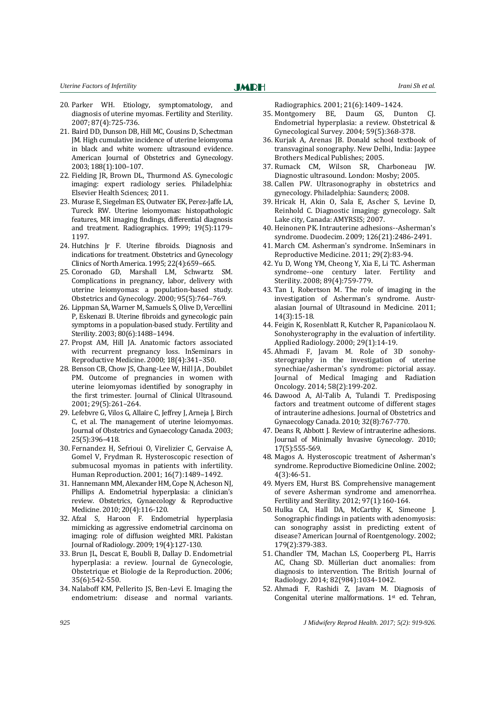- 20. Parker WH. Etiology, symptomatology, and diagnosis of uterine myomas. Fertility and Sterility. 2007; 87(4):725-736.
- 21. Baird DD, Dunson DB, Hill MC, Cousins D, Schectman JM. High cumulative incidence of uterine leiomyoma in black and white women: ultrasound evidence. American Journal of Obstetrics and Gynecology. 2003; 188(1):100–107.
- <span id="page-6-0"></span>22. Fielding JR, Brown DL, Thurmond AS. Gynecologic imaging: expert radiology series. Philadelphia: Elsevier Health Sciences; 2011.
- <span id="page-6-1"></span>23. Murase E, Siegelman ES, Outwater EK, Perez-Jaffe LA, Tureck RW. Uterine leiomyomas: histopathologic features, MR imaging findings, differential diagnosis and treatment. Radiographics. 1999; 19(5):1179– 1197.
- 24. Hutchins Jr F. Uterine fibroids. Diagnosis and indications for treatment. Obstetrics and Gynecology Clinics of North America. 1995; 22(4):659–665.
- 25. Coronado GD, Marshall LM, Schwartz SM. Complications in pregnancy, labor, delivery with uterine leiomyomas: a population-based study. Obstetrics and Gynecology. 2000; 95(5):764–769.
- 26. Lippman SA, Warner M, Samuels S, Olive D, Vercellini P, Eskenazi B. Uterine fibroids and gynecologic pain symptoms in a population-based study. Fertility and Sterility. 2003; 80(6):1488–1494.
- <span id="page-6-2"></span>27. Propst AM, Hill JA. Anatomic factors associated with recurrent pregnancy loss. InSeminars in Reproductive Medicine. 2000; 18(4):341–350.
- <span id="page-6-3"></span>28. Benson CB, Chow JS, Chang-Lee W, Hill JA , Doubilet PM. Outcome of pregnancies in women with uterine leiomyomas identified by sonography in the first trimester. Journal of Clinical Ultrasound. 2001; 29(5):261–264.
- <span id="page-6-4"></span>29. Lefebvre G, Vilos G, Allaire C, Jeffrey J, Arneja J, Birch C, et al. The management of uterine leiomyomas. Journal of Obstetrics and Gynaecology Canada. 2003; 25(5):396–418.
- <span id="page-6-5"></span>30. Fernandez H, Sefrioui O, Virelizier C, Gervaise A, Gomel V, Frydman R. Hysteroscopic resection of submucosal myomas in patients with infertility. Human Reproduction. 2001; 16(7):1489–1492.
- <span id="page-6-6"></span>31. Hannemann MM, Alexander HM, Cope N, Acheson NJ, Phillips A. Endometrial hyperplasia: a clinician's review. Obstetrics, Gynaecology & Reproductive Medicine. 2010; 20(4):116-120.
- 32. Afzal S, Haroon F. Endometrial hyperplasia mimicking as aggressive endometrial carcinoma on imaging: role of diffusion weighted MRI. Pakistan Journal of Radiology. 2009; 19(4):127-130.
- <span id="page-6-7"></span>33. Brun JL, Descat E, Boubli B, Dallay D. Endometrial hyperplasia: a review. Journal de Gynecologie, Obstetrique et Biologie de la Reproduction. 2006; 35(6):542-550.
- 34. Nalaboff KM, Pellerito JS, Ben-Levi E. Imaging the endometrium: disease and normal variants.

Radiographics. 2001; 21(6):1409–1424.

- <span id="page-6-8"></span>35. Montgomery BE, Daum GS, Dunton CJ. Endometrial hyperplasia: a review. Obstetrical & Gynecological Survey. 2004; 59(5):368-378.
- 36. Kurjak A, Arenas JB. Donald school textbook of transvaginal sonography. New Delhi, India: Jaypee Brothers Medical Publishes; 2005.
- 37. Rumack CM, Wilson SR, Charboneau JW. Diagnostic ultrasound. London: Mosby; 2005.
- <span id="page-6-9"></span>38. Callen PW. Ultrasonography in obstetrics and gynecology. Philadelphia: Saunders; 2008.
- 39. Hricak H, Akin O, Sala E, Ascher S, Levine D, Reinhold C. Diagnostic imaging: gynecology. Salt Lake city, Canada: AMYRSIS; 2007.
- 40. Heinonen PK. Intrauterine adhesions--Asherman's syndrome. Duodecim. 2009; 126(21):2486-2491.
- 41. March CM. Asherman's syndrome. InSeminars in Reproductive Medicine. 2011; 29(2):83-94.
- 42. Yu D, Wong YM, Cheong Y, Xia E, Li TC. Asherman syndrome--one century later. Fertility and Sterility. 2008; 89(4):759-779.
- 43. Tan I, Robertson M. The role of imaging in the investigation of Asherman's syndrome. Australasian Journal of Ultrasound in Medicine. 2011; 14(3):15-18.
- 44. Feigin K, Rosenblatt R, Kutcher R, Papanicolaou N. Sonohysterography in the evaluation of infertility. Applied Radiology. 2000; 29(1):14-19.
- <span id="page-6-10"></span>45. Ahmadi F, Javam M. Role of 3D sonohysterography in the investigation of uterine synechiae/asherman's syndrome: pictorial assay. Journal of Medical Imaging and Radiation Oncology. 2014; 58(2):199-202.
- <span id="page-6-11"></span>46. Dawood A, Al-Talib A, Tulandi T. Predisposing factors and treatment outcome of different stages of intrauterine adhesions. Journal of Obstetrics and Gynaecology Canada. 2010; 32(8):767-770.
- <span id="page-6-12"></span>47. Deans R, Abbott J. Review of intrauterine adhesions. Journal of Minimally Invasive Gynecology. 2010; 17(5):555-569.
- <span id="page-6-13"></span>48. Magos A. Hysteroscopic treatment of Asherman's syndrome. Reproductive Biomedicine Online. 2002; 4(3):46-51.
- 49. Myers EM, Hurst BS. Comprehensive management of severe Asherman syndrome and amenorrhea. Fertility and Sterility. 2012; 97(1):160-164.
- <span id="page-6-14"></span>50. Hulka CA, Hall DA, McCarthy K, Simeone J. Sonographic findings in patients with adenomyosis: can sonography assist in predicting extent of disease? American Journal of Roentgenology. 2002; 179(2):379-383.
- 51. Chandler TM, Machan LS, Cooperberg PL, Harris AC, Chang SD. Müllerian duct anomalies: from diagnosis to intervention. The British Journal of Radiology. 2014; 82(984):1034-1042.
- 52. Ahmadi F, Rashidi Z, Javam M. Diagnosis of Congenital uterine malformations. 1st ed. Tehran,

*925 J Midwifery Reprod Health. 2017; 5(2): 919-926.*